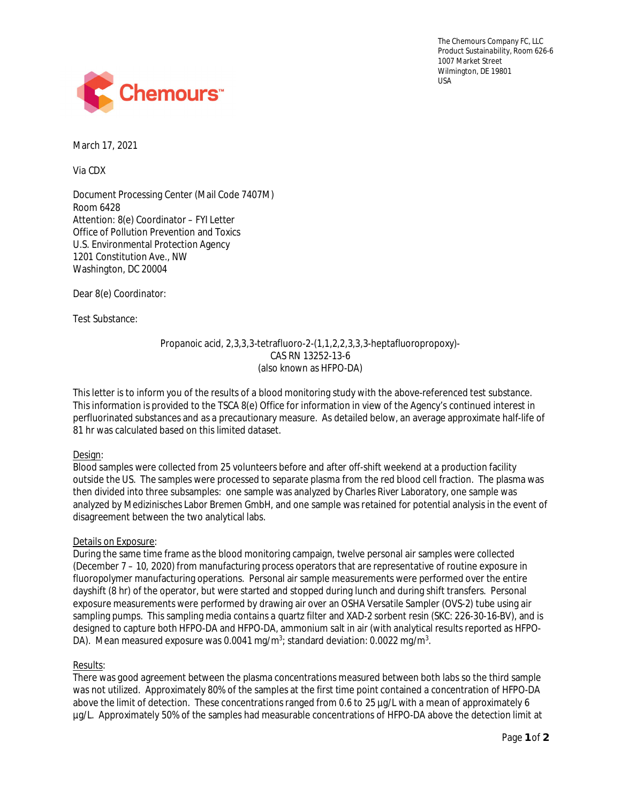The Chemours Company FC, LLC Product Sustainability, Room 626-6 1007 Market Street Wilmington, DE 19801 USA



March 17, 2021

Via CDX

Document Processing Center (Mail Code 7407M) Room 6428 Attention: 8(e) Coordinator – FYI Letter Office of Pollution Prevention and Toxics U.S. Environmental Protection Agency 1201 Constitution Ave., NW Washington, DC 20004

Dear 8(e) Coordinator:

Test Substance:

Propanoic acid, 2,3,3,3-tetrafluoro-2-(1,1,2,2,3,3,3-heptafluoropropoxy)- CAS RN 13252-13-6 (also known as HFPO-DA)

This letter is to inform you of the results of a blood monitoring study with the above-referenced test substance. This information is provided to the TSCA 8(e) Office for information in view of the Agency's continued interest in perfluorinated substances and as a precautionary measure. As detailed below, an average approximate half-life of 81 hr was calculated based on this limited dataset.

## Design:

Blood samples were collected from 25 volunteers before and after off-shift weekend at a production facility outside the US. The samples were processed to separate plasma from the red blood cell fraction. The plasma was then divided into three subsamples: one sample was analyzed by Charles River Laboratory, one sample was analyzed by Medizinisches Labor Bremen GmbH, and one sample was retained for potential analysis in the event of disagreement between the two analytical labs.

## Details on Exposure:

During the same time frame as the blood monitoring campaign, twelve personal air samples were collected (December 7 – 10, 2020) from manufacturing process operators that are representative of routine exposure in fluoropolymer manufacturing operations. Personal air sample measurements were performed over the entire dayshift (8 hr) of the operator, but were started and stopped during lunch and during shift transfers. Personal exposure measurements were performed by drawing air over an OSHA Versatile Sampler (OVS-2) tube using air sampling pumps. This sampling media contains a quartz filter and XAD-2 sorbent resin (SKC: 226-30-16-BV), and is designed to capture both HFPO-DA and HFPO-DA, ammonium salt in air (with analytical results reported as HFPO-DA). Mean measured exposure was 0.0041 mg/m $^3$ ; standard deviation: 0.0022 mg/m $^3$ .

## Results:

There was good agreement between the plasma concentrations measured between both labs so the third sample was not utilized. Approximately 80% of the samples at the first time point contained a concentration of HFPO-DA above the limit of detection. These concentrations ranged from 0.6 to 25 µg/L with a mean of approximately 6 µg/L. Approximately 50% of the samples had measurable concentrations of HFPO-DA above the detection limit at